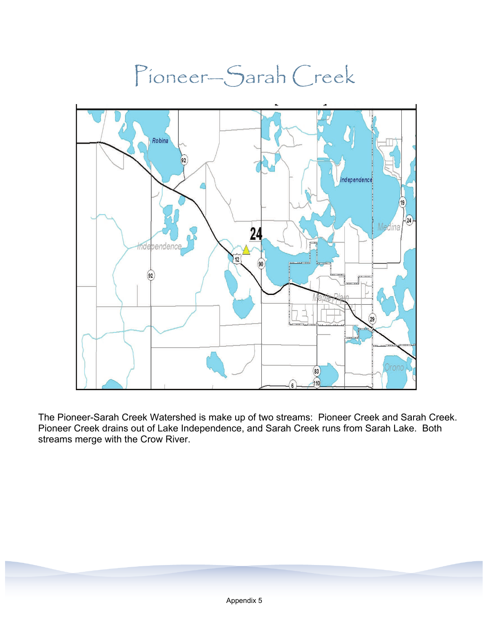

The Pioneer-Sarah Creek Watershed is make up of two streams: Pioneer Creek and Sarah Creek. Pioneer Creek drains out of Lake Independence, and Sarah Creek runs from Sarah Lake. Both streams merge with the Crow River.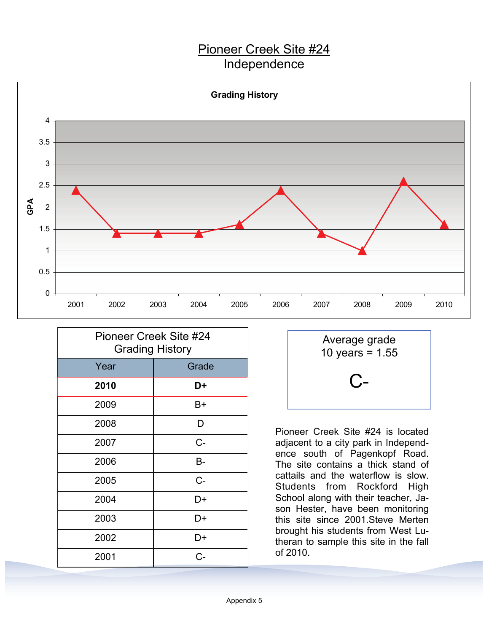## Pioneer Creek Site #24 Independence



| Pioneer Creek Site #24<br><b>Grading History</b> |       |
|--------------------------------------------------|-------|
| Year                                             | Grade |
| 2010                                             | D+    |
| 2009                                             | B+    |
| 2008                                             | D     |
| 2007                                             | $C -$ |
| 2006                                             | B-    |
| 2005                                             | $C -$ |
| 2004                                             | D+    |
| 2003                                             | D+    |
| 2002                                             | D+    |
| 2001                                             | $C -$ |



Pioneer Creek Site #24 is located adjacent to a city park in Independence south of Pagenkopf Road. The site contains a thick stand of cattails and the waterflow is slow. Students from Rockford High School along with their teacher, Jason Hester, have been monitoring this site since 2001.Steve Merten brought his students from West Lutheran to sample this site in the fall of 2010.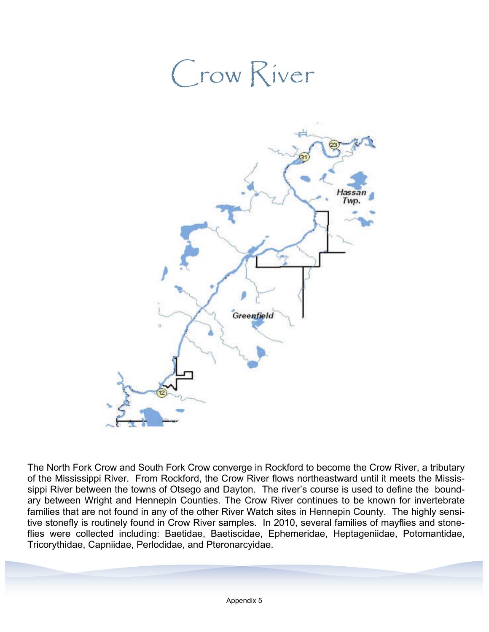## Crow River Hassa Twp Greenfield

The North Fork Crow and South Fork Crow converge in Rockford to become the Crow River, a tributary of the Mississippi River. From Rockford, the Crow River flows northeastward until it meets the Mississippi River between the towns of Otsego and Dayton. The river's course is used to define the boundary between Wright and Hennepin Counties. The Crow River continues to be known for invertebrate families that are not found in any of the other River Watch sites in Hennepin County. The highly sensitive stonefly is routinely found in Crow River samples. In 2010, several families of mayflies and stoneflies were collected including: Baetidae, Baetiscidae, Ephemeridae, Heptageniidae, Potomantidae, Tricorythidae, Capniidae, Perlodidae, and Pteronarcyidae.